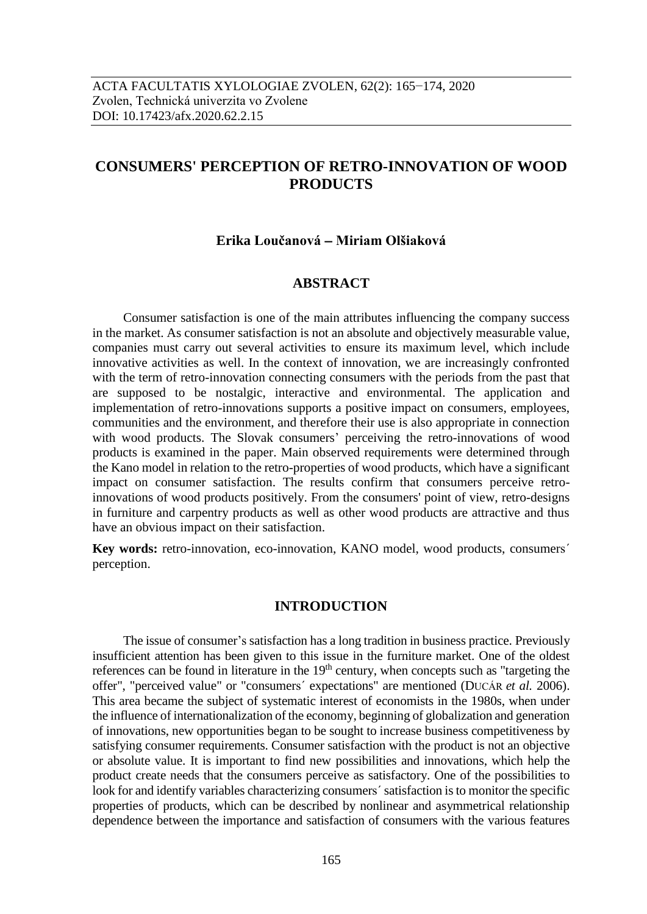# **CONSUMERS' PERCEPTION OF RETRO-INNOVATION OF WOOD PRODUCTS**

## **Erika Loučanová Miriam Olšiaková**

### **ABSTRACT**

Consumer satisfaction is one of the main attributes influencing the company success in the market. As consumer satisfaction is not an absolute and objectively measurable value, companies must carry out several activities to ensure its maximum level, which include innovative activities as well. In the context of innovation, we are increasingly confronted with the term of retro-innovation connecting consumers with the periods from the past that are supposed to be nostalgic, interactive and environmental. The application and implementation of retro-innovations supports a positive impact on consumers, employees, communities and the environment, and therefore their use is also appropriate in connection with wood products. The Slovak consumers' perceiving the retro-innovations of wood products is examined in the paper. Main observed requirements were determined through the Kano model in relation to the retro-properties of wood products, which have a significant impact on consumer satisfaction. The results confirm that consumers perceive retroinnovations of wood products positively. From the consumers' point of view, retro-designs in furniture and carpentry products as well as other wood products are attractive and thus have an obvious impact on their satisfaction.

**Key words:** retro-innovation, eco-innovation, KANO model, wood products, consumers´ perception.

### **INTRODUCTION**

The issue of consumer's satisfaction has a long tradition in business practice. Previously insufficient attention has been given to this issue in the furniture market. One of the oldest references can be found in literature in the 19<sup>th</sup> century, when concepts such as "targeting the offer", "perceived value" or "consumers´ expectations" are mentioned (DUCÁR *et al.* 2006). This area became the subject of systematic interest of economists in the 1980s, when under the influence of internationalization of the economy, beginning of globalization and generation of innovations, new opportunities began to be sought to increase business competitiveness by satisfying consumer requirements. Consumer satisfaction with the product is not an objective or absolute value. It is important to find new possibilities and innovations, which help the product create needs that the consumers perceive as satisfactory. One of the possibilities to look for and identify variables characterizing consumers´ satisfaction is to monitor the specific properties of products, which can be described by nonlinear and asymmetrical relationship dependence between the importance and satisfaction of consumers with the various features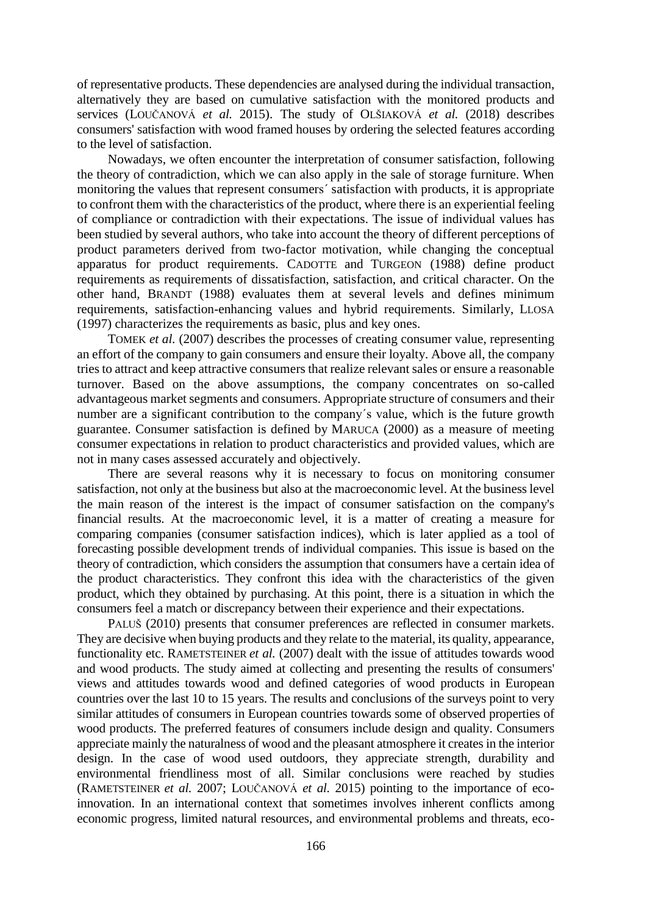of representative products. These dependencies are analysed during the individual transaction, alternatively they are based on cumulative satisfaction with the monitored products and services (LOUČANOVÁ *et al.* 2015). The study of OLŠIAKOVÁ *et al.* (2018) describes consumers' satisfaction with wood framed houses by ordering the selected features according to the level of satisfaction.

Nowadays, we often encounter the interpretation of consumer satisfaction, following the theory of contradiction, which we can also apply in the sale of storage furniture. When monitoring the values that represent consumers´ satisfaction with products, it is appropriate to confront them with the characteristics of the product, where there is an experiential feeling of compliance or contradiction with their expectations. The issue of individual values has been studied by several authors, who take into account the theory of different perceptions of product parameters derived from two-factor motivation, while changing the conceptual apparatus for product requirements. CADOTTE and TURGEON (1988) define product requirements as requirements of dissatisfaction, satisfaction, and critical character. On the other hand, BRANDT (1988) evaluates them at several levels and defines minimum requirements, satisfaction-enhancing values and hybrid requirements. Similarly, LLOSA (1997) characterizes the requirements as basic, plus and key ones.

TOMEK *et al.* (2007) describes the processes of creating consumer value, representing an effort of the company to gain consumers and ensure their loyalty. Above all, the company tries to attract and keep attractive consumers that realize relevant sales or ensure a reasonable turnover. Based on the above assumptions, the company concentrates on so-called advantageous market segments and consumers. Appropriate structure of consumers and their number are a significant contribution to the company´s value, which is the future growth guarantee. Consumer satisfaction is defined by MARUCA (2000) as a measure of meeting consumer expectations in relation to product characteristics and provided values, which are not in many cases assessed accurately and objectively.

There are several reasons why it is necessary to focus on monitoring consumer satisfaction, not only at the business but also at the macroeconomic level. At the business level the main reason of the interest is the impact of consumer satisfaction on the company's financial results. At the macroeconomic level, it is a matter of creating a measure for comparing companies (consumer satisfaction indices), which is later applied as a tool of forecasting possible development trends of individual companies. This issue is based on the theory of contradiction, which considers the assumption that consumers have a certain idea of the product characteristics. They confront this idea with the characteristics of the given product, which they obtained by purchasing. At this point, there is a situation in which the consumers feel a match or discrepancy between their experience and their expectations.

PALUŠ (2010) presents that consumer preferences are reflected in consumer markets. They are decisive when buying products and they relate to the material, its quality, appearance, functionality etc. RAMETSTEINER *et al.* (2007) dealt with the issue of attitudes towards wood and wood products. The study aimed at collecting and presenting the results of consumers' views and attitudes towards wood and defined categories of wood products in European countries over the last 10 to 15 years. The results and conclusions of the surveys point to very similar attitudes of consumers in European countries towards some of observed properties of wood products. The preferred features of consumers include design and quality. Consumers appreciate mainly the naturalness of wood and the pleasant atmosphere it creates in the interior design. In the case of wood used outdoors, they appreciate strength, durability and environmental friendliness most of all. Similar conclusions were reached by studies (RAMETSTEINER *et al.* 2007; LOUČANOVÁ *et al.* 2015) pointing to the importance of ecoinnovation. In an international context that sometimes involves inherent conflicts among economic progress, limited natural resources, and environmental problems and threats, eco-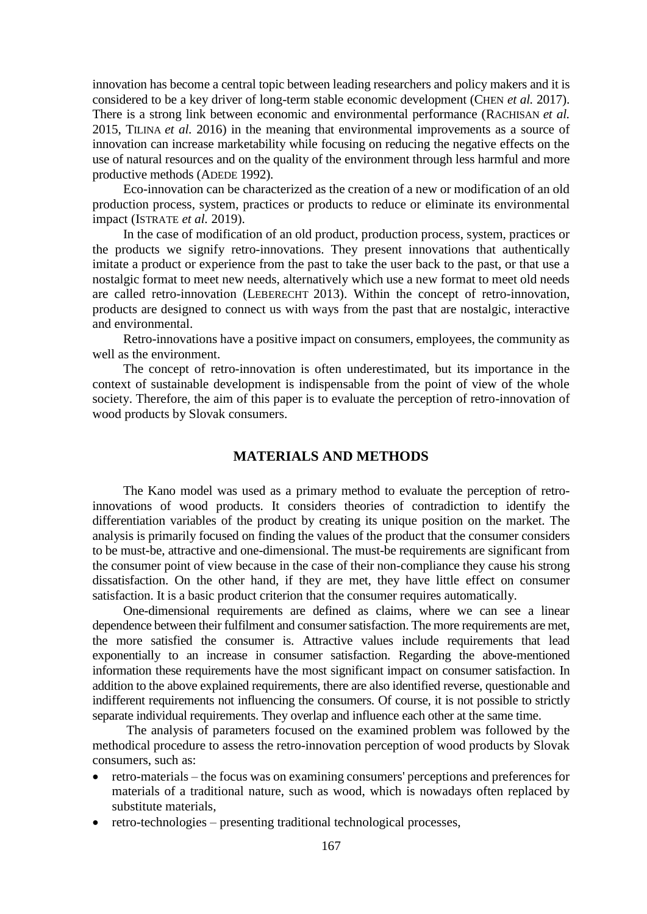innovation has become a central topic between leading researchers and policy makers and it is considered to be a key driver of long-term stable economic development (CHEN *et al.* 2017). There is a strong link between economic and environmental performance (RACHISAN *et al.* 2015, TILINA *et al.* 2016) in the meaning that environmental improvements as a source of innovation can increase marketability while focusing on reducing the negative effects on the use of natural resources and on the quality of the environment through less harmful and more productive methods (ADEDE 1992).

Eco-innovation can be characterized as the creation of a new or modification of an old production process, system, practices or products to reduce or eliminate its environmental impact (ISTRATE *et al.* 2019).

In the case of modification of an old product, production process, system, practices or the products we signify retro-innovations. They present innovations that authentically imitate a product or experience from the past to take the user back to the past, or that use a nostalgic format to meet new needs, alternatively which use a new format to meet old needs are called retro-innovation (LEBERECHT 2013). Within the concept of retro-innovation, products are designed to connect us with ways from the past that are nostalgic, interactive and environmental.

Retro-innovations have a positive impact on consumers, employees, the community as well as the environment.

The concept of retro-innovation is often underestimated, but its importance in the context of sustainable development is indispensable from the point of view of the whole society. Therefore, the aim of this paper is to evaluate the perception of retro-innovation of wood products by Slovak consumers.

### **MATERIALS AND METHODS**

The Kano model was used as a primary method to evaluate the perception of retroinnovations of wood products. It considers theories of contradiction to identify the differentiation variables of the product by creating its unique position on the market. The analysis is primarily focused on finding the values of the product that the consumer considers to be must-be, attractive and one-dimensional. The must-be requirements are significant from the consumer point of view because in the case of their non-compliance they cause his strong dissatisfaction. On the other hand, if they are met, they have little effect on consumer satisfaction. It is a basic product criterion that the consumer requires automatically.

One-dimensional requirements are defined as claims, where we can see a linear dependence between their fulfilment and consumer satisfaction. The more requirements are met, the more satisfied the consumer is. Attractive values include requirements that lead exponentially to an increase in consumer satisfaction. Regarding the above-mentioned information these requirements have the most significant impact on consumer satisfaction. In addition to the above explained requirements, there are also identified reverse, questionable and indifferent requirements not influencing the consumers. Of course, it is not possible to strictly separate individual requirements. They overlap and influence each other at the same time.

The analysis of parameters focused on the examined problem was followed by the methodical procedure to assess the retro-innovation perception of wood products by Slovak consumers, such as:

- retro-materials the focus was on examining consumers' perceptions and preferences for materials of a traditional nature, such as wood, which is nowadays often replaced by substitute materials,
- retro-technologies presenting traditional technological processes,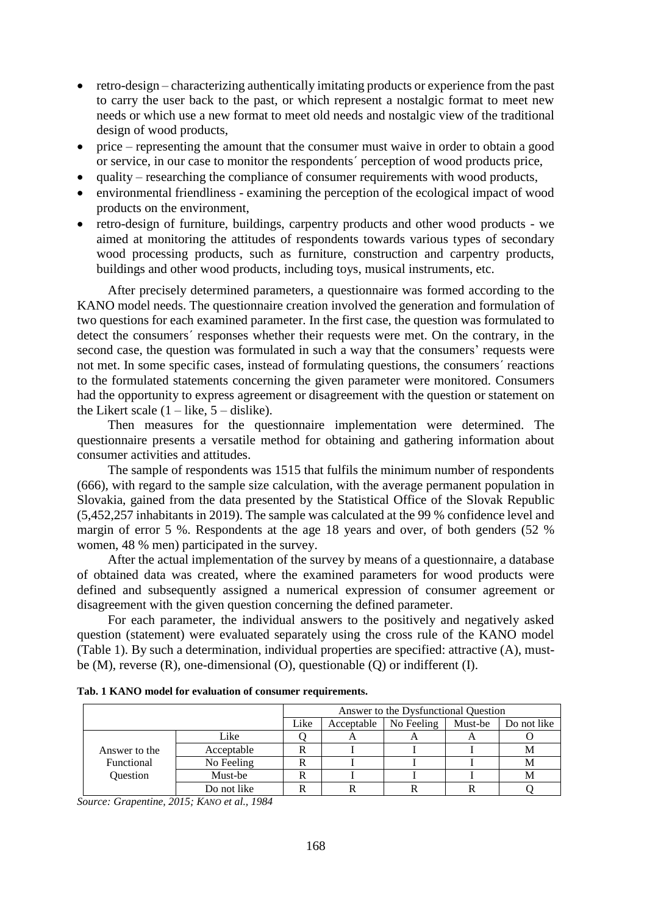- retro-design characterizing authentically imitating products or experience from the past to carry the user back to the past, or which represent a nostalgic format to meet new needs or which use a new format to meet old needs and nostalgic view of the traditional design of wood products,
- price representing the amount that the consumer must waive in order to obtain a good or service, in our case to monitor the respondents´ perception of wood products price,
- quality researching the compliance of consumer requirements with wood products,
- environmental friendliness examining the perception of the ecological impact of wood products on the environment,
- retro-design of furniture, buildings, carpentry products and other wood products we aimed at monitoring the attitudes of respondents towards various types of secondary wood processing products, such as furniture, construction and carpentry products, buildings and other wood products, including toys, musical instruments, etc.

After precisely determined parameters, a questionnaire was formed according to the KANO model needs. The questionnaire creation involved the generation and formulation of two questions for each examined parameter. In the first case, the question was formulated to detect the consumers´ responses whether their requests were met. On the contrary, in the second case, the question was formulated in such a way that the consumers' requests were not met. In some specific cases, instead of formulating questions, the consumers´ reactions to the formulated statements concerning the given parameter were monitored. Consumers had the opportunity to express agreement or disagreement with the question or statement on the Likert scale  $(1 - like, 5 - dislike)$ .

Then measures for the questionnaire implementation were determined. The questionnaire presents a versatile method for obtaining and gathering information about consumer activities and attitudes.

The sample of respondents was 1515 that fulfils the minimum number of respondents (666), with regard to the sample size calculation, with the average permanent population in Slovakia, gained from the data presented by the Statistical Office of the Slovak Republic (5,452,257 inhabitants in 2019). The sample was calculated at the 99 % confidence level and margin of error 5 %. Respondents at the age 18 years and over, of both genders (52 % women, 48 % men) participated in the survey.

After the actual implementation of the survey by means of a questionnaire, a database of obtained data was created, where the examined parameters for wood products were defined and subsequently assigned a numerical expression of consumer agreement or disagreement with the given question concerning the defined parameter.

For each parameter, the individual answers to the positively and negatively asked question (statement) were evaluated separately using the cross rule of the KANO model (Table 1). By such a determination, individual properties are specified: attractive (A), mustbe (M), reverse (R), one-dimensional (O), questionable (Q) or indifferent (I).

|                               |             | Answer to the Dysfunctional Question |            |            |         |             |  |  |
|-------------------------------|-------------|--------------------------------------|------------|------------|---------|-------------|--|--|
|                               |             | Like                                 | Acceptable | No Feeling | Must-be | Do not like |  |  |
|                               | Like        |                                      | A          |            |         |             |  |  |
| Answer to the                 | Acceptable  |                                      |            |            |         | М           |  |  |
| Functional<br><b>Ouestion</b> | No Feeling  |                                      |            |            |         | М           |  |  |
|                               | Must-be     |                                      |            |            |         | М           |  |  |
|                               | Do not like |                                      |            |            |         |             |  |  |

**Tab. 1 KANO model for evaluation of consumer requirements.**

*Source[: Grapentine,](http://www.quirks.com/articles/2015/20150407.aspx) 2015; KANO et al., 1984*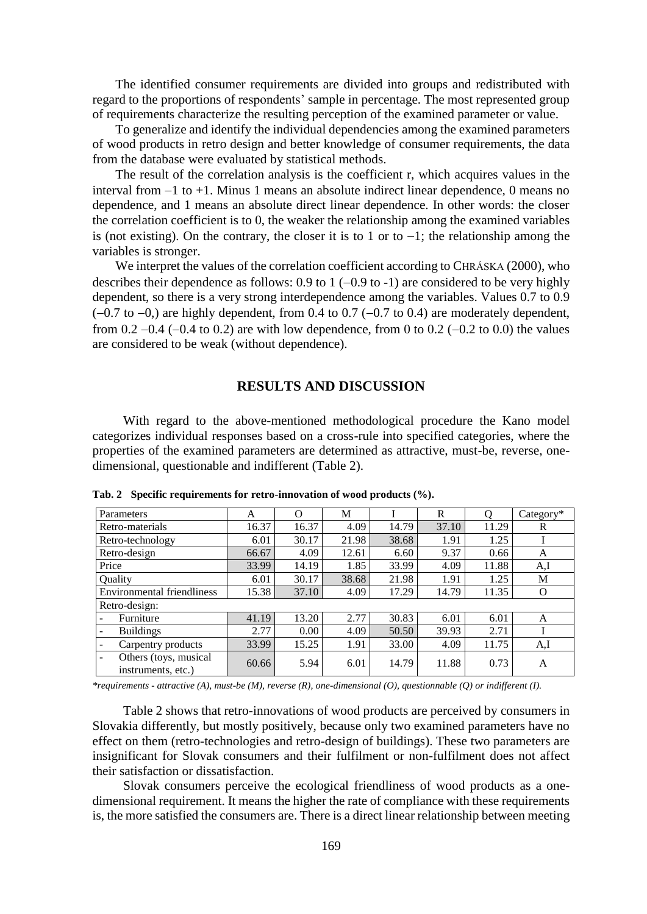The identified consumer requirements are divided into groups and redistributed with regard to the proportions of respondents' sample in percentage. The most represented group of requirements characterize the resulting perception of the examined parameter or value.

To generalize and identify the individual dependencies among the examined parameters of wood products in retro design and better knowledge of consumer requirements, the data from the database were evaluated by statistical methods.

The result of the correlation analysis is the coefficient r, which acquires values in the interval from  $-1$  to  $+1$ . Minus 1 means an absolute indirect linear dependence, 0 means no dependence, and 1 means an absolute direct linear dependence. In other words: the closer the correlation coefficient is to 0, the weaker the relationship among the examined variables is (not existing). On the contrary, the closer it is to 1 or to  $-1$ ; the relationship among the variables is stronger.

We interpret the values of the correlation coefficient according to CHRÁSKA (2000), who describes their dependence as follows: 0.9 to 1  $(-0.9 \text{ to } -1)$  are considered to be very highly dependent, so there is a very strong interdependence among the variables. Values 0.7 to 0.9  $(-0.7 \text{ to } -0)$ , are highly dependent, from 0.4 to 0.7 (-0.7 to 0.4) are moderately dependent, from 0.2 –0.4 (–0.4 to 0.2) are with low dependence, from 0 to 0.2 (–0.2 to 0.0) the values are considered to be weak (without dependence).

## **RESULTS AND DISCUSSION**

With regard to the above-mentioned methodological procedure the Kano model categorizes individual responses based on a cross-rule into specified categories, where the properties of the examined parameters are determined as attractive, must-be, reverse, onedimensional, questionable and indifferent (Table 2).

| Parameters                                  | A     | Ω     | M     |       | R     |       | $Category*$ |
|---------------------------------------------|-------|-------|-------|-------|-------|-------|-------------|
| Retro-materials                             | 16.37 | 16.37 | 4.09  | 14.79 | 37.10 | 11.29 | R           |
| Retro-technology                            | 6.01  | 30.17 | 21.98 | 38.68 | 1.91  | 1.25  |             |
| Retro-design                                | 66.67 | 4.09  | 12.61 | 6.60  | 9.37  | 0.66  | A           |
| Price                                       | 33.99 | 14.19 | 1.85  | 33.99 | 4.09  | 11.88 | A,I         |
| Quality                                     | 6.01  | 30.17 | 38.68 | 21.98 | 1.91  | 1.25  | M           |
| Environmental friendliness                  | 15.38 | 37.10 | 4.09  | 17.29 | 14.79 | 11.35 | O           |
| Retro-design:                               |       |       |       |       |       |       |             |
| Furniture                                   | 41.19 | 13.20 | 2.77  | 30.83 | 6.01  | 6.01  | A           |
| <b>Buildings</b>                            | 2.77  | 0.00  | 4.09  | 50.50 | 39.93 | 2.71  |             |
| Carpentry products                          | 33.99 | 15.25 | 1.91  | 33.00 | 4.09  | 11.75 | A,I         |
| Others (toys, musical<br>instruments, etc.) | 60.66 | 5.94  | 6.01  | 14.79 | 11.88 | 0.73  | A           |

**Tab. 2 Specific requirements for retro-innovation of wood products (%).**

*\*requirements - attractive (A), must-be (M), reverse (R), one-dimensional (O), questionnable (Q) or indifferent (I).*

Table 2 shows that retro-innovations of wood products are perceived by consumers in Slovakia differently, but mostly positively, because only two examined parameters have no effect on them (retro-technologies and retro-design of buildings). These two parameters are insignificant for Slovak consumers and their fulfilment or non-fulfilment does not affect their satisfaction or dissatisfaction.

Slovak consumers perceive the ecological friendliness of wood products as a onedimensional requirement. It means the higher the rate of compliance with these requirements is, the more satisfied the consumers are. There is a direct linear relationship between meeting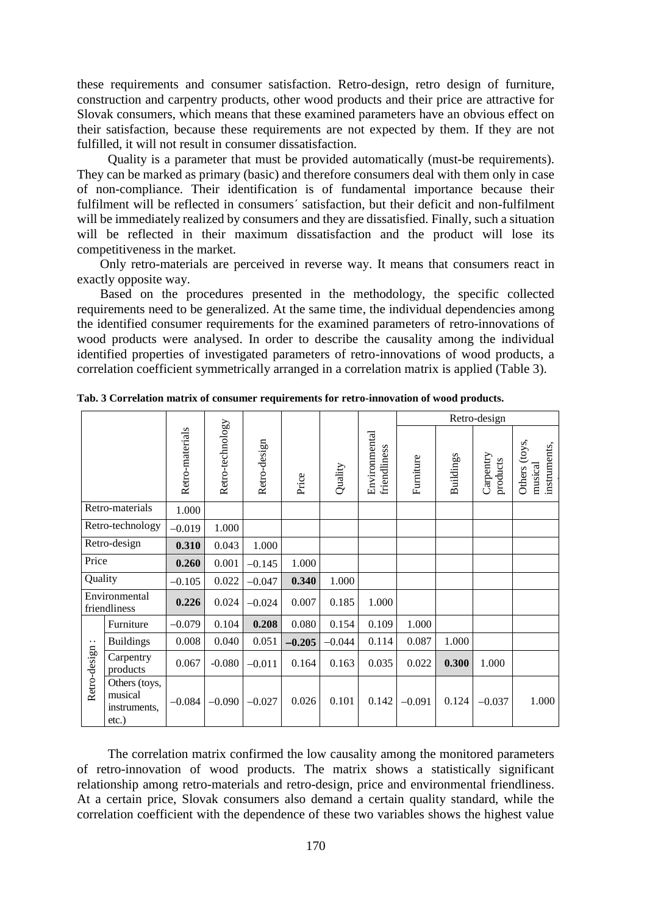these requirements and consumer satisfaction. Retro-design, retro design of furniture, construction and carpentry products, other wood products and their price are attractive for Slovak consumers, which means that these examined parameters have an obvious effect on their satisfaction, because these requirements are not expected by them. If they are not fulfilled, it will not result in consumer dissatisfaction.

Quality is a parameter that must be provided automatically (must-be requirements). They can be marked as primary (basic) and therefore consumers deal with them only in case of non-compliance. Their identification is of fundamental importance because their fulfilment will be reflected in consumers´ satisfaction, but their deficit and non-fulfilment will be immediately realized by consumers and they are dissatisfied. Finally, such a situation will be reflected in their maximum dissatisfaction and the product will lose its competitiveness in the market.

Only retro-materials are perceived in reverse way. It means that consumers react in exactly opposite way.

Based on the procedures presented in the methodology, the specific collected requirements need to be generalized. At the same time, the individual dependencies among the identified consumer requirements for the examined parameters of retro-innovations of wood products were analysed. In order to describe the causality among the individual identified properties of investigated parameters of retro-innovations of wood products, a correlation coefficient symmetrically arranged in a correlation matrix is applied (Table 3).

|                               |                                                   |                 |                  |              |          |          |                               |           | Retro-design |                       |                                             |  |
|-------------------------------|---------------------------------------------------|-----------------|------------------|--------------|----------|----------|-------------------------------|-----------|--------------|-----------------------|---------------------------------------------|--|
|                               |                                                   | Retro-materials | Retro-technology | Retro-design | Price    | Quality  | Environmental<br>friendliness | Furniture | Buildings    | Carpentry<br>products | (toys,<br>instruments,<br>musical<br>Others |  |
| Retro-materials               |                                                   | 1.000           |                  |              |          |          |                               |           |              |                       |                                             |  |
| Retro-technology              |                                                   | $-0.019$        | 1.000            |              |          |          |                               |           |              |                       |                                             |  |
| Retro-design                  |                                                   | 0.310           | 0.043            | 1.000        |          |          |                               |           |              |                       |                                             |  |
| Price                         |                                                   | 0.260           | 0.001            | $-0.145$     | 1.000    |          |                               |           |              |                       |                                             |  |
| Quality                       |                                                   | $-0.105$        | 0.022            | $-0.047$     | 0.340    | 1.000    |                               |           |              |                       |                                             |  |
| Environmental<br>friendliness |                                                   | 0.226           | 0.024            | $-0.024$     | 0.007    | 0.185    | 1.000                         |           |              |                       |                                             |  |
|                               | Furniture                                         | $-0.079$        | 0.104            | 0.208        | 0.080    | 0.154    | 0.109                         | 1.000     |              |                       |                                             |  |
| Retro-design:                 | <b>Buildings</b>                                  | 0.008           | 0.040            | 0.051        | $-0.205$ | $-0.044$ | 0.114                         | 0.087     | 1.000        |                       |                                             |  |
|                               | Carpentry<br>products                             | 0.067           | $-0.080$         | $-0.011$     | 0.164    | 0.163    | 0.035                         | 0.022     | 0.300        | 1.000                 |                                             |  |
|                               | Others (toys,<br>musical<br>instruments.<br>etc.) | $-0.084$        | $-0.090$         | $-0.027$     | 0.026    | 0.101    | 0.142                         | $-0.091$  | 0.124        | $-0.037$              | 1.000                                       |  |

**Tab. 3 Correlation matrix of consumer requirements for retro-innovation of wood products.**

The correlation matrix confirmed the low causality among the monitored parameters of retro-innovation of wood products. The matrix shows a statistically significant relationship among retro-materials and retro-design, price and environmental friendliness. At a certain price, Slovak consumers also demand a certain quality standard, while the correlation coefficient with the dependence of these two variables shows the highest value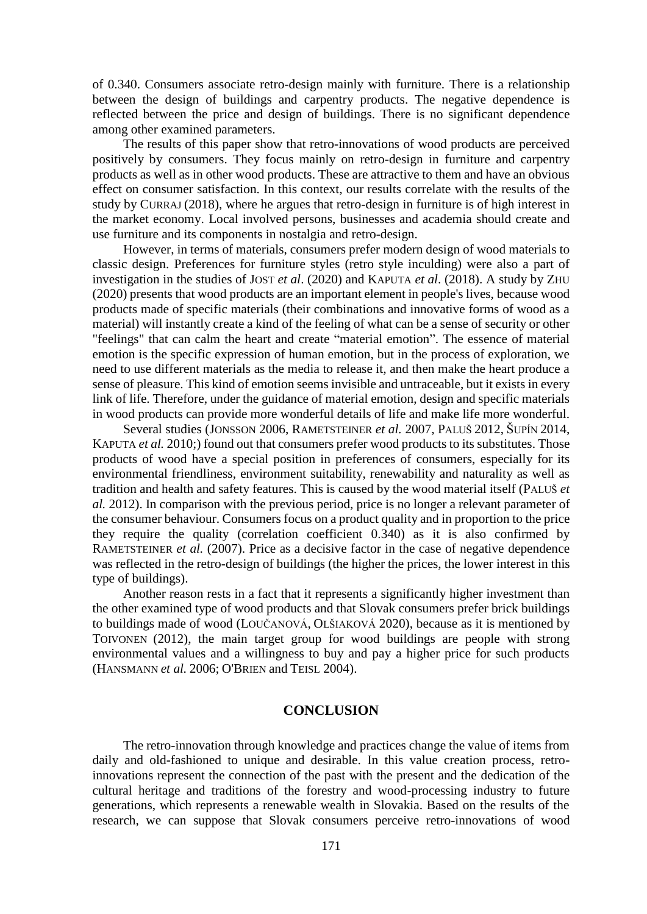of 0.340. Consumers associate retro-design mainly with furniture. There is a relationship between the design of buildings and carpentry products. The negative dependence is reflected between the price and design of buildings. There is no significant dependence among other examined parameters.

The results of this paper show that retro-innovations of wood products are perceived positively by consumers. They focus mainly on retro-design in furniture and carpentry products as well as in other wood products. These are attractive to them and have an obvious effect on consumer satisfaction. In this context, our results correlate with the results of the study by CURRAJ (2018), where he argues that retro-design in furniture is of high interest in the market economy. Local involved persons, businesses and academia should create and use furniture and its components in nostalgia and retro-design.

However, in terms of materials, consumers prefer modern design of wood materials to classic design. Preferences for furniture styles (retro style inculding) were also a part of investigation in the studies of JOST *et al*. (2020) and KAPUTA *et al*. (2018). A study by ZHU (2020) presents that wood products are an important element in people's lives, because wood products made of specific materials (their combinations and innovative forms of wood as a material) will instantly create a kind of the feeling of what can be a sense of security or other "feelings" that can calm the heart and create "material emotion". The essence of material emotion is the specific expression of human emotion, but in the process of exploration, we need to use different materials as the media to release it, and then make the heart produce a sense of pleasure. This kind of emotion seems invisible and untraceable, but it exists in every link of life. Therefore, under the guidance of material emotion, design and specific materials in wood products can provide more wonderful details of life and make life more wonderful.

Several studies (JONSSON 2006, RAMETSTEINER *et al.* 2007, PALUŠ 2012, ŠUPÍN 2014, KAPUTA *et al.* 2010;) found out that consumers prefer wood products to its substitutes. Those products of wood have a special position in preferences of consumers, especially for its environmental friendliness, environment suitability, renewability and naturality as well as tradition and health and safety features. This is caused by the wood material itself (PALUŠ *et al.* 2012). In comparison with the previous period, price is no longer a relevant parameter of the consumer behaviour. Consumers focus on a product quality and in proportion to the price they require the quality (correlation coefficient 0.340) as it is also confirmed by RAMETSTEINER *et al.* (2007). Price as a decisive factor in the case of negative dependence was reflected in the retro-design of buildings (the higher the prices, the lower interest in this type of buildings).

Another reason rests in a fact that it represents a significantly higher investment than the other examined type of wood products and that Slovak consumers prefer brick buildings to buildings made of wood (LOUČANOVÁ, OLŠIAKOVÁ 2020), because as it is mentioned by TOIVONEN (2012), the main target group for wood buildings are people with strong environmental values and a willingness to buy and pay a higher price for such products (HANSMANN *et al.* 2006; O'BRIEN and TEISL 2004).

### **CONCLUSION**

The retro-innovation through knowledge and practices change the value of items from daily and old-fashioned to unique and desirable. In this value creation process, retroinnovations represent the connection of the past with the present and the dedication of the cultural heritage and traditions of the forestry and wood-processing industry to future generations, which represents a renewable wealth in Slovakia. Based on the results of the research, we can suppose that Slovak consumers perceive retro-innovations of wood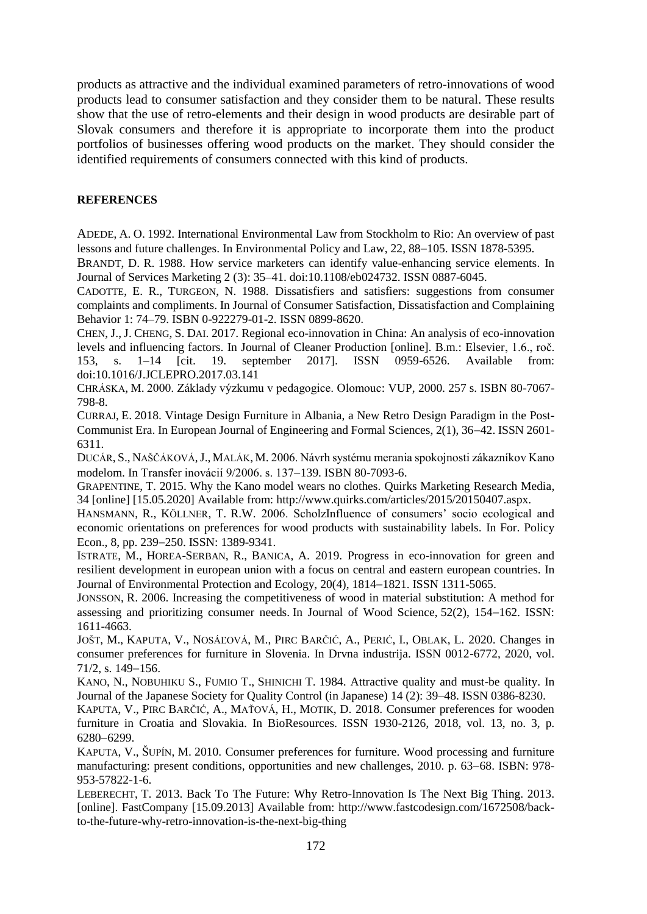products as attractive and the individual examined parameters of retro-innovations of wood products lead to consumer satisfaction and they consider them to be natural. These results show that the use of retro-elements and their design in wood products are desirable part of Slovak consumers and therefore it is appropriate to incorporate them into the product portfolios of businesses offering wood products on the market. They should consider the identified requirements of consumers connected with this kind of products.

### **REFERENCES**

ADEDE, A. O. 1992. International Environmental Law from Stockholm to Rio: An overview of past lessons and future challenges. In Environmental Policy and Law, 22, 88–105. ISSN 1878-5395.

BRANDT, D. R. 1988. [How service marketers can identify value-enhancing service elements.](http://www.emeraldinsight.com/10.1108/eb024732) In Journal of Services Marketing 2 (3): 35–41. [doi](http://en.wikipedia.org/wiki/Digital_object_identifier)[:10.1108/eb024732.](http://dx.doi.org/10.1108%2Feb024732) [ISSN](http://en.wikipedia.org/wiki/International_Standard_Serial_Number) [0887-6045.](http://www.worldcat.org/issn/0887-6045)

CADOTTE, E. R., TURGEON, N. 1988. [Dissatisfiers and satisfiers: suggestions from consumer](http://lilt.ilstu.edu/staylor/csdcb/articles/Volume1/Cadotte%20et%20al%201988.pdf)  [complaints and](http://lilt.ilstu.edu/staylor/csdcb/articles/Volume1/Cadotte%20et%20al%201988.pdf) compliments. In Journal of Consumer Satisfaction, Dissatisfaction and Complaining Behavior 1: 74–79. [ISBN](http://en.wikipedia.org/wiki/International_Standard_Book_Number) [0-922279-01-2.](http://en.wikipedia.org/wiki/Special:BookSources/0-922279-01-2) [ISSN](http://en.wikipedia.org/wiki/International_Standard_Serial_Number) [0899-8620](http://www.worldcat.org/issn/0899-8620).

CHEN, J., J. CHENG, S. DAI. 2017. Regional eco-innovation in China: An analysis of eco-innovation levels and influencing factors. In Journal of Cleaner Production [online]. B.m.: Elsevier, 1.6., roč. 153, s. 1–14 [cit. 19. september 2017]. ISSN 0959-6526. Available from: doi:10.1016/J.JCLEPRO.2017.03.141

CHRÁSKA, M. 2000. Základy výzkumu v pedagogice. Olomouc: VUP, 2000. 257 s. ISBN 80-7067- 798-8.

CURRAJ, E. 2018. Vintage Design Furniture in Albania, a New Retro Design Paradigm in the Post-Communist Era. In European Journal of Engineering and Formal Sciences, 2(1), 36–42. ISSN 2601-6311.

DUCÁR, S., NAŠČÁKOVÁ,J., MALÁK, M. 2006. Návrh systému merania spokojnosti zákazníkov Kano modelom. In Transfer inovácií 9/2006. s. 137–139. ISBN 80-7093-6.

GRAPENTINE, T. 2015. Why the Kano model wears no clothes. [Quirks Marketing Research Media,](https://disqus.com/home/forums/quirksmarketingresearchmedia/) 34 [online] [15.05.2020] Available from: http://www.quirks.com/articles/2015/20150407.aspx.

HANSMANN, R., KÖLLNER, T. R.W. 2006. ScholzInfluence of consumers' socio ecological and economic orientations on preferences for wood products with sustainability labels. In For. Policy Econ., 8, pp. 239–250. ISSN: 1389-9341.

ISTRATE, M., HOREA-SERBAN, R., BANICA, A. 2019. Progress in eco-innovation for green and resilient development in european union with a focus on central and eastern european countries. In Journal of Environmental Protection and Ecology, 20(4), 1814–1821. ISSN 1311-5065.

JONSSON, R. 2006. Increasing the competitiveness of wood in material substitution: A method for assessing and prioritizing consumer needs. In Journal of Wood Science,  $52(2)$ ,  $154-162$ . ISSN: 1611-4663.

JOŠT, M., KAPUTA, V., NOSÁĽOVÁ, M., PIRC BARČIĆ, A., PERIĆ, I., OBLAK, L. 2020. Changes in consumer preferences for furniture in Slovenia. In Drvna industrija. ISSN 0012-6772, 2020, vol. 71/2, s. 149–156.

K[ANO](http://en.wikipedia.org/wiki/Noriaki_Kano), N., NOBUHIKU S., FUMIO T., SHINICHI T. 1984. [Attractive quality and must-be quality.](http://ci.nii.ac.jp/Detail/detail.do?LOCALID=ART0003570680&lang=en) In Journal of the Japanese Society for Quality Control (in Japanese) 14 (2): 39–48. [ISSN](http://en.wikipedia.org/wiki/International_Standard_Serial_Number) [0386-8230.](http://www.worldcat.org/issn/0386-8230)

KAPUTA, V., PIRC BARČIĆ, A., MAŤOVÁ, H., MOTIK, D. 2018. Consumer preferences for wooden furniture in Croatia and Slovakia. In BioResources. ISSN 1930-2126, 2018, vol. 13, no. 3, p. 6280-6299.

KAPUTA, V., ŠUPÍN, M. 2010. Consumer preferences for furniture. Wood processing and furniture manufacturing: present conditions, opportunities and new challenges, 2010. p. 63–68. ISBN: 978-953-57822-1-6.

LEBERECHT, T. 2013. Back To The Future: Why Retro-Innovation Is The Next Big Thing. 2013. [online]. FastCompany [15.09.2013] Available from: http://www.fastcodesign.com/1672508/backto-the-future-why-retro-innovation-is-the-next-big-thing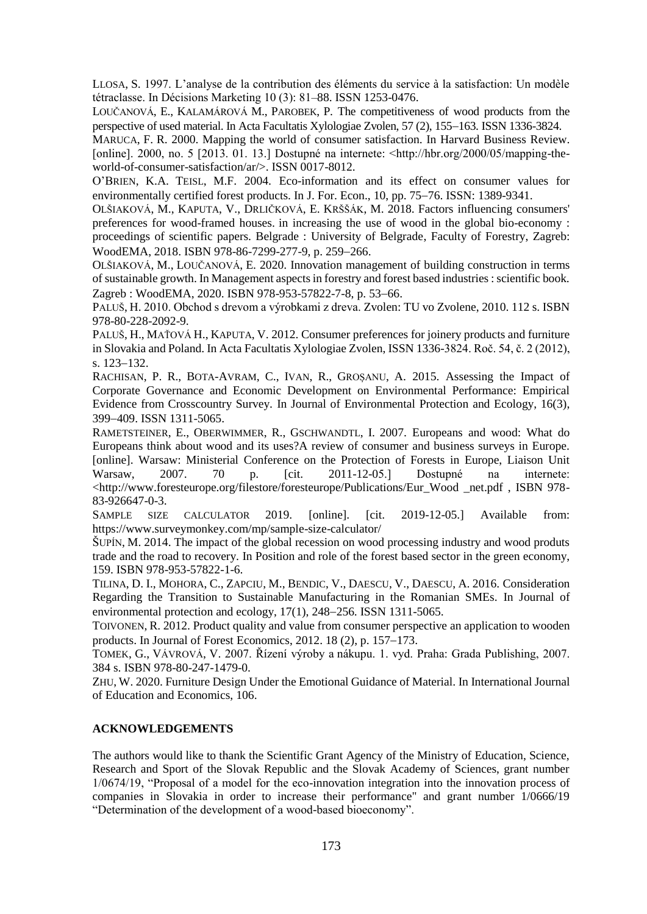LLOSA, S. 1997. L'analyse de la contribution des éléments du service à la satisfaction: Un modèle tétraclasse. In Décisions Marketing 10 (3): 81–88. [ISSN](http://en.wikipedia.org/wiki/International_Standard_Serial_Number) [1253-0476.](http://www.worldcat.org/issn/1253-0476)

LOUČANOVÁ, E., KALAMÁROVÁ M., PAROBEK, P. The competitiveness of wood products from the perspective of used material. In Acta Facultatis Xylologiae Zvolen, 57 (2), 155–163. ISSN 1336-3824.

MARUCA, F. R. 2000. Mapping the world of consumer satisfaction. In Harvard Business Review.

[online]. 2000, no. 5 [2013. 01. 13.] Dostupné na internete: <http://hbr.org/2000/05/mapping-theworld-of-consumer-satisfaction/ar/>. ISSN 0017-8012.

O'BRIEN, K.A. TEISL, M.F. 2004. Eco-information and its effect on consumer values for environmentally certified forest products. In J. For. Econ., 10, pp. 75-76. ISSN: 1389-9341.

OLŠIAKOVÁ, M., KAPUTA, V., DRLIČKOVÁ, E. KRŠŠÁK, M. 2018. Factors influencing consumers' preferences for wood-framed houses. in increasing the use of wood in the global bio-economy : proceedings of scientific papers. Belgrade : University of Belgrade, Faculty of Forestry, Zagreb: WoodEMA, 2018. ISBN 978-86-7299-277-9, p. 259-266.

OLŠIAKOVÁ, M., LOUČANOVÁ, E. 2020. Innovation management of building construction in terms of sustainable growth. In Management aspects in forestry and forest based industries : scientific book. Zagreb : WoodEMA, 2020. ISBN 978-953-57822-7-8, p. 53-66.

PALUŠ, H. 2010. Obchod s drevom a výrobkami z dreva. Zvolen: TU vo Zvolene, 2010. 112 s. ISBN 978-80-228-2092-9.

PALUŠ, H., MAŤOVÁ H., KAPUTA, V. 2012. Consumer preferences for joinery products and furniture in Slovakia and Poland. In Acta Facultatis Xylologiae Zvolen, ISSN 1336-3824. Roč. 54, č. 2 (2012), s.  $123-132$ .

RACHISAN, P. R., BOTA-AVRAM, C., IVAN, R., GROȘANU, A. 2015. Assessing the Impact of Corporate Governance and Economic Development on Environmental Performance: Empirical Evidence from Crosscountry Survey. In Journal of Environmental Protection and Ecology, 16(3), 399409. ISSN 1311-5065.

RAMETSTEINER, E., OBERWIMMER, R., GSCHWANDTL, I. 2007. Europeans and wood: What do Europeans think about wood and its uses?A review of consumer and business surveys in Europe. [online]. Warsaw: Ministerial Conference on the Protection of Forests in Europe, Liaison Unit Warsaw, 2007. 70 p. [cit. 2011-12-05.] Dostupné na internete: <http://www.foresteurope.org/filestore/foresteurope/Publications/Eur\_Wood \_net.pdf , ISBN 978- 83-926647-0-3.

SAMPLE SIZE CALCULATOR 2019. [online]. [cit. 2019-12-05.] Available from: <https://www.surveymonkey.com/mp/sample-size-calculator/>

ŠUPÍN, M. 2014. The impact of the global recession on wood processing industry and wood produts trade and the road to recovery. In Position and role of the forest based sector in the green economy, 159. ISBN 978-953-57822-1-6.

TILINA, D. I., MOHORA, C., ZAPCIU, M., BENDIC, V., DAESCU, V., DAESCU, A. 2016. Consideration Regarding the Transition to Sustainable Manufacturing in the Romanian SMEs. In Journal of environmental protection and ecology,  $17(1)$ ,  $248-256$ . ISSN 1311-5065.

TOIVONEN, R. 2012. Product quality and value from consumer perspective an application to wooden products. In Journal of Forest Economics,  $2012$ ,  $18(2)$ , p.  $157-173$ .

TOMEK, G., VÁVROVÁ, V. 2007. Řízení výroby a nákupu. 1. vyd. Praha: Grada Publishing, 2007. 384 s. ISBN 978-80-247-1479-0.

ZHU, W. 2020. Furniture Design Under the Emotional Guidance of Material. In International Journal of Education and Economics, 106.

#### **ACKNOWLEDGEMENTS**

The authors would like to thank the Scientific Grant Agency of the Ministry of Education, Science, Research and Sport of the Slovak Republic and the Slovak Academy of Sciences, grant number 1/0674/19, "Proposal of a model for the eco-innovation integration into the innovation process of companies in Slovakia in order to increase their performance" and grant number 1/0666/19 "Determination of the development of a wood-based bioeconomy".